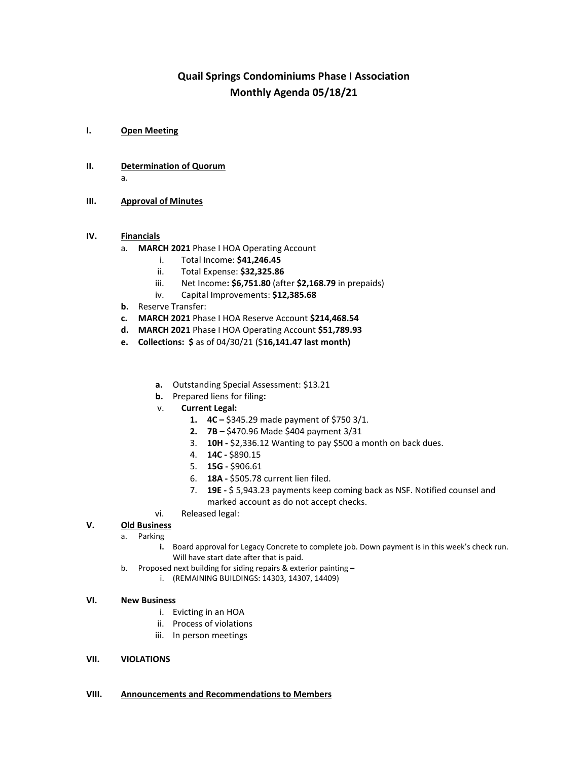# **Quail Springs Condominiums Phase I Association Monthly Agenda 05/18/21**

- **I. Open Meeting**
- **II. Determination of Quorum** a.
- **III. Approval of Minutes**

## **IV. Financials**

- a. **MARCH 2021** Phase I HOA Operating Account
	- i. Total Income: **\$41,246.45**
	- ii. Total Expense: **\$32,325.86**
	- iii. Net Income**: \$6,751.80** (after **\$2,168.79** in prepaids)
	- iv. Capital Improvements: **\$12,385.68**
- **b.** Reserve Transfer:
- **c. MARCH 2021** Phase I HOA Reserve Account **\$214,468.54**
- **d. MARCH 2021** Phase I HOA Operating Account **\$51,789.93**
- **e. Collections: \$** as of 04/30/21 (\$**16,141.47 last month)**
	- **a.** Outstanding Special Assessment: \$13.21
	- **b.** Prepared liens for filing**:**
	- v. **Current Legal:**
		- **1. 4C –** \$345.29 made payment of \$750 3/1.
		- **2. 7B –** \$470.96 Made \$404 payment 3/31
		- 3. **10H -** \$2,336.12 Wanting to pay \$500 a month on back dues.
		- 4. **14C -** \$890.15
		- 5. **15G -** \$906.61
		- 6. **18A -** \$505.78 current lien filed.
		- 7. **19E -** \$ 5,943.23 payments keep coming back as NSF. Notified counsel and marked account as do not accept checks.
	- vi. Released legal:

## **V. Old Business**

- a. Parking
	- **i.** Board approval for Legacy Concrete to complete job. Down payment is in this week's check run. Will have start date after that is paid.
- b. Proposed next building for siding repairs & exterior painting **–**
	- i. (REMAINING BUILDINGS: 14303, 14307, 14409)

### **VI. New Business**

- i. Evicting in an HOA
- ii. Process of violations
- iii. In person meetings

### **VII. VIOLATIONS**

### **VIII. Announcements and Recommendations to Members**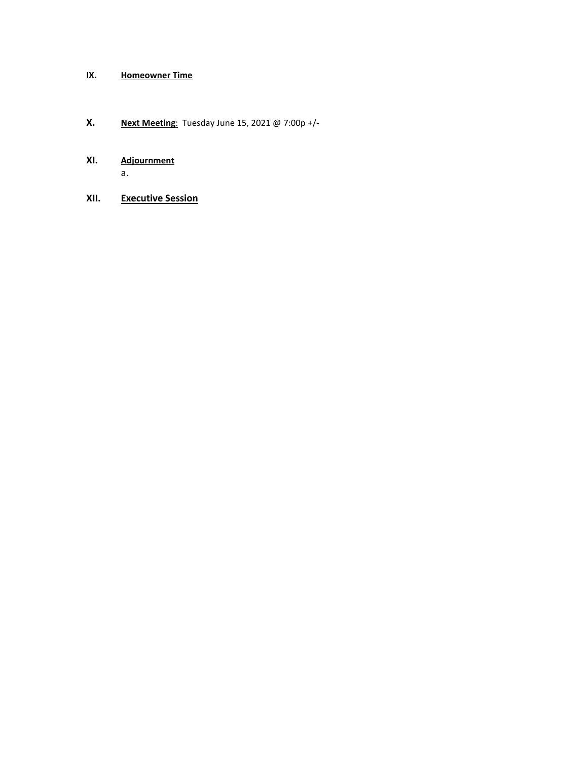# **IX. Homeowner Time**

# **X. Next Meeting**: Tuesday June 15, 2021 @ 7:00p +/-

# **XI. Adjournment** a.

**XII. Executive Session**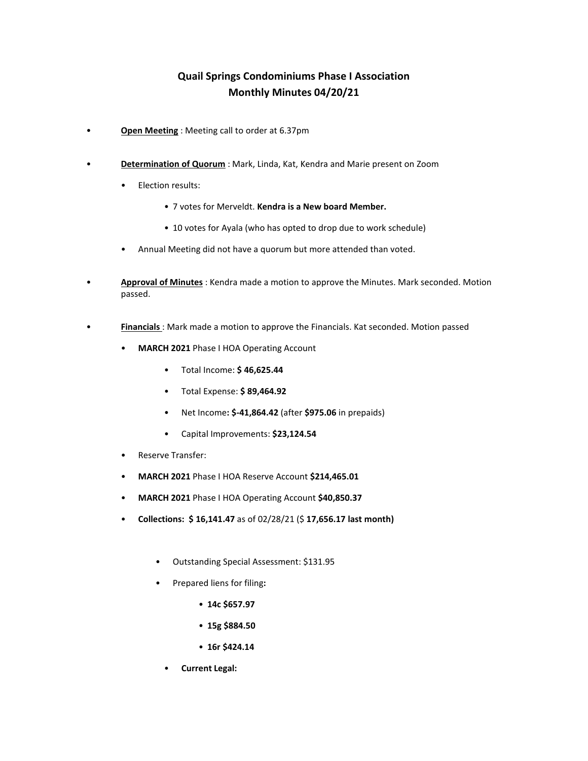# **Quail Springs Condominiums Phase I Association Monthly Minutes 04/20/21**

- **Open Meeting** : Meeting call to order at 6.37pm
- **Determination of Quorum** : Mark, Linda, Kat, Kendra and Marie present on Zoom
	- Election results:
		- 7 votes for Merveldt. **Kendra is a New board Member.**
		- 10 votes for Ayala (who has opted to drop due to work schedule)
	- Annual Meeting did not have a quorum but more attended than voted.
- **Approval of Minutes** : Kendra made a motion to approve the Minutes. Mark seconded. Motion passed.
- **Financials** : Mark made a motion to approve the Financials. Kat seconded. Motion passed
	- **MARCH 2021** Phase I HOA Operating Account
		- Total Income: **\$ 46,625.44**
		- Total Expense: **\$ 89,464.92**
		- Net Income**: \$-41,864.42** (after **\$975.06** in prepaids)
		- Capital Improvements: **\$23,124.54**
	- Reserve Transfer:
	- **MARCH 2021** Phase I HOA Reserve Account **\$214,465.01**
	- **MARCH 2021** Phase I HOA Operating Account **\$40,850.37**
	- **Collections: \$ 16,141.47** as of 02/28/21 (\$ **17,656.17 last month)**
		- Outstanding Special Assessment: \$131.95
		- Prepared liens for filing**:** 
			- **14c \$657.97**
			- **15g \$884.50**
			- **16r \$424.14**
			- **Current Legal:**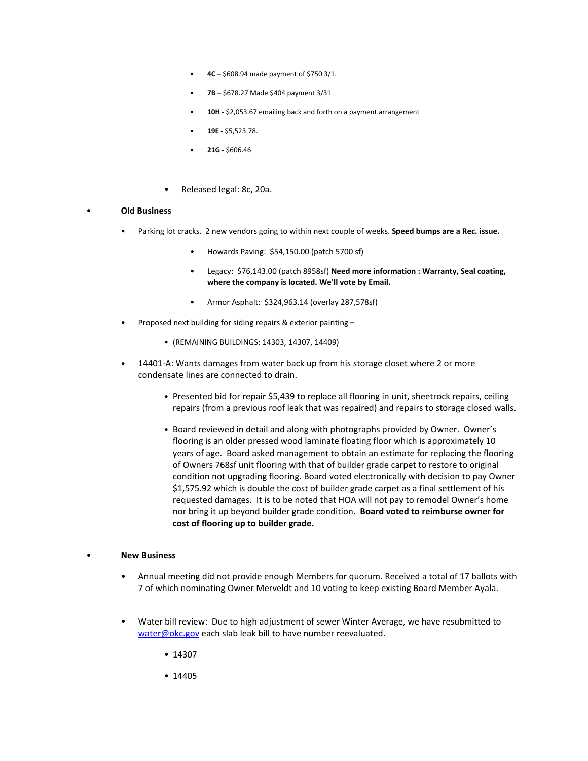- **4C –** \$608.94 made payment of \$750 3/1.
- **7B –** \$678.27 Made \$404 payment 3/31
- **10H -** \$2,053.67 emailing back and forth on a payment arrangement
- **19E -** \$5,523.78.
- **21G -** \$606.46
- Released legal: 8c, 20a.

#### • **Old Business**

- Parking lot cracks. 2 new vendors going to within next couple of weeks. **Speed bumps are a Rec. issue.**
	- Howards Paving: \$54,150.00 (patch 5700 sf)
	- Legacy: \$76,143.00 (patch 8958sf) **Need more information : Warranty, Seal coating, where the company is located. We'll vote by Email.**
	- Armor Asphalt: \$324,963.14 (overlay 287,578sf)
- Proposed next building for siding repairs & exterior painting **–**
	- (REMAINING BUILDINGS: 14303, 14307, 14409)
- 14401-A: Wants damages from water back up from his storage closet where 2 or more condensate lines are connected to drain.
	- Presented bid for repair \$5,439 to replace all flooring in unit, sheetrock repairs, ceiling repairs (from a previous roof leak that was repaired) and repairs to storage closed walls.
	- Board reviewed in detail and along with photographs provided by Owner. Owner's flooring is an older pressed wood laminate floating floor which is approximately 10 years of age. Board asked management to obtain an estimate for replacing the flooring of Owners 768sf unit flooring with that of builder grade carpet to restore to original condition not upgrading flooring. Board voted electronically with decision to pay Owner \$1,575.92 which is double the cost of builder grade carpet as a final settlement of his requested damages. It is to be noted that HOA will not pay to remodel Owner's home nor bring it up beyond builder grade condition. **Board voted to reimburse owner for cost of flooring up to builder grade.**

### • **New Business**

- Annual meeting did not provide enough Members for quorum. Received a total of 17 ballots with 7 of which nominating Owner Merveldt and 10 voting to keep existing Board Member Ayala.
- Water bill review: Due to high adjustment of sewer Winter Average, we have resubmitted to [water@okc.gov](mailto:water@okc.gov) each slab leak bill to have number reevaluated.
	- 14307
	- 14405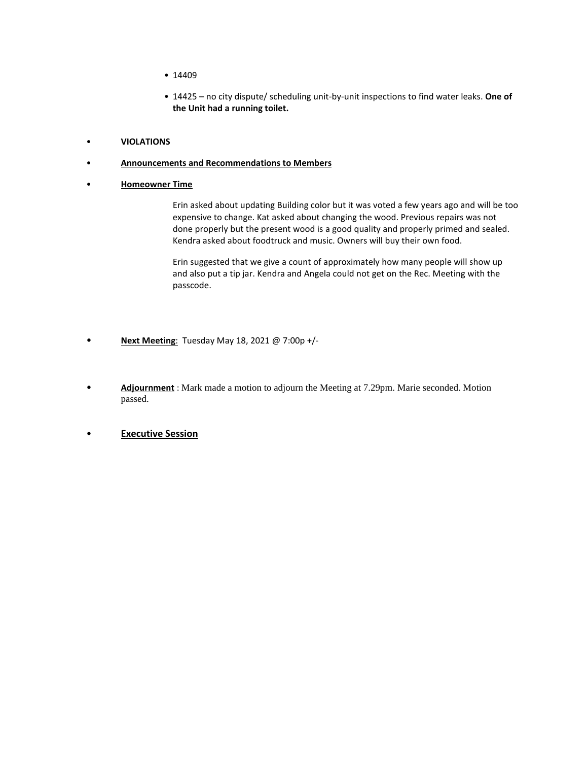- 14409
- 14425 no city dispute/ scheduling unit-by-unit inspections to find water leaks. **One of the Unit had a running toilet.**
- **VIOLATIONS**

### • **Announcements and Recommendations to Members**

• **Homeowner Time** 

Erin asked about updating Building color but it was voted a few years ago and will be too expensive to change. Kat asked about changing the wood. Previous repairs was not done properly but the present wood is a good quality and properly primed and sealed. Kendra asked about foodtruck and music. Owners will buy their own food.

Erin suggested that we give a count of approximately how many people will show up and also put a tip jar. Kendra and Angela could not get on the Rec. Meeting with the passcode.

- **Next Meeting**: Tuesday May 18, 2021 @ 7:00p +/-
- **Adjournment** : Mark made a motion to adjourn the Meeting at 7.29pm. Marie seconded. Motion passed.
- **Executive Session**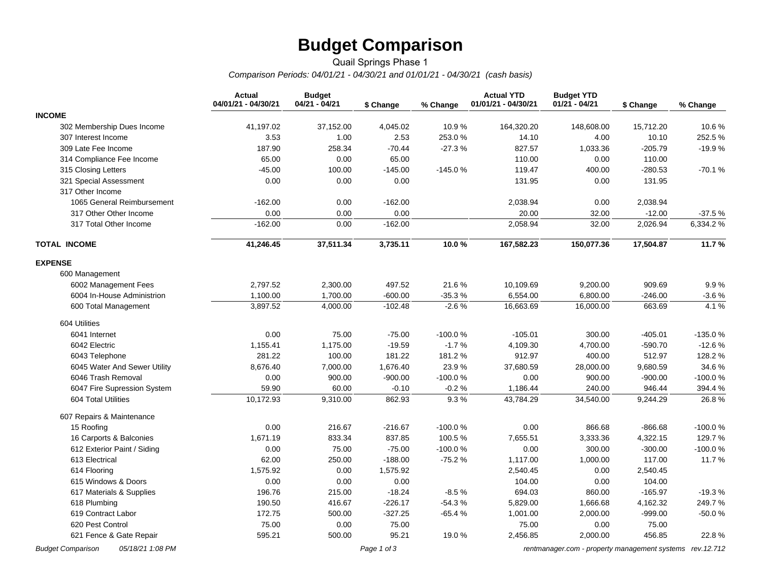# **Budget Comparison**

## Quail Springs Phase 1 *Comparison Periods: 04/01/21 - 04/30/21 and 01/01/21 - 04/30/21 (cash basis)*

|                                              | <b>Actual</b><br>04/01/21 - 04/30/21 | <b>Budget</b><br>04/21 - 04/21 | \$ Change   | % Change  | <b>Actual YTD</b><br>01/01/21 - 04/30/21 | <b>Budget YTD</b><br>$01/21 - 04/21$                     | \$ Change | % Change  |
|----------------------------------------------|--------------------------------------|--------------------------------|-------------|-----------|------------------------------------------|----------------------------------------------------------|-----------|-----------|
| <b>INCOME</b>                                |                                      |                                |             |           |                                          |                                                          |           |           |
| 302 Membership Dues Income                   | 41,197.02                            | 37,152.00                      | 4,045.02    | 10.9%     | 164,320.20                               | 148,608.00                                               | 15,712.20 | 10.6%     |
| 307 Interest Income                          | 3.53                                 | 1.00                           | 2.53        | 253.0%    | 14.10                                    | 4.00                                                     | 10.10     | 252.5 %   |
| 309 Late Fee Income                          | 187.90                               | 258.34                         | $-70.44$    | $-27.3%$  | 827.57                                   | 1,033.36                                                 | $-205.79$ | $-19.9%$  |
| 314 Compliance Fee Income                    | 65.00                                | 0.00                           | 65.00       |           | 110.00                                   | 0.00                                                     | 110.00    |           |
| 315 Closing Letters                          | $-45.00$                             | 100.00                         | $-145.00$   | $-145.0%$ | 119.47                                   | 400.00                                                   | $-280.53$ | $-70.1%$  |
| 321 Special Assessment                       | 0.00                                 | 0.00                           | 0.00        |           | 131.95                                   | 0.00                                                     | 131.95    |           |
| 317 Other Income                             |                                      |                                |             |           |                                          |                                                          |           |           |
| 1065 General Reimbursement                   | $-162.00$                            | 0.00                           | $-162.00$   |           | 2,038.94                                 | 0.00                                                     | 2,038.94  |           |
| 317 Other Other Income                       | 0.00                                 | 0.00                           | 0.00        |           | 20.00                                    | 32.00                                                    | $-12.00$  | $-37.5%$  |
| 317 Total Other Income                       | $-162.00$                            | 0.00                           | $-162.00$   |           | 2,058.94                                 | 32.00                                                    | 2,026.94  | 6,334.2%  |
| <b>TOTAL INCOME</b>                          | 41,246.45                            | 37,511.34                      | 3,735.11    | 10.0%     | 167,582.23                               | 150,077.36                                               | 17,504.87 | 11.7%     |
| <b>EXPENSE</b>                               |                                      |                                |             |           |                                          |                                                          |           |           |
| 600 Management                               |                                      |                                |             |           |                                          |                                                          |           |           |
| 6002 Management Fees                         | 2,797.52                             | 2,300.00                       | 497.52      | 21.6%     | 10,109.69                                | 9,200.00                                                 | 909.69    | 9.9%      |
| 6004 In-House Administrion                   | 1,100.00                             | 1,700.00                       | $-600.00$   | $-35.3%$  | 6,554.00                                 | 6,800.00                                                 | $-246.00$ | $-3.6%$   |
| 600 Total Management                         | 3,897.52                             | 4,000.00                       | $-102.48$   | $-2.6%$   | 16,663.69                                | 16,000.00                                                | 663.69    | 4.1%      |
| 604 Utilities                                |                                      |                                |             |           |                                          |                                                          |           |           |
| 6041 Internet                                | 0.00                                 | 75.00                          | $-75.00$    | $-100.0%$ | $-105.01$                                | 300.00                                                   | $-405.01$ | $-135.0%$ |
| 6042 Electric                                | 1,155.41                             | 1,175.00                       | $-19.59$    | $-1.7%$   | 4,109.30                                 | 4,700.00                                                 | $-590.70$ | $-12.6%$  |
| 6043 Telephone                               | 281.22                               | 100.00                         | 181.22      | 181.2%    | 912.97                                   | 400.00                                                   | 512.97    | 128.2 %   |
| 6045 Water And Sewer Utility                 | 8,676.40                             | 7,000.00                       | 1,676.40    | 23.9%     | 37,680.59                                | 28,000.00                                                | 9,680.59  | 34.6%     |
| 6046 Trash Removal                           | 0.00                                 | 900.00                         | $-900.00$   | $-100.0%$ | 0.00                                     | 900.00                                                   | $-900.00$ | -100.0%   |
| 6047 Fire Supression System                  | 59.90                                | 60.00                          | $-0.10$     | $-0.2%$   | 1,186.44                                 | 240.00                                                   | 946.44    | 394.4 %   |
| 604 Total Utilities                          | 10,172.93                            | 9,310.00                       | 862.93      | 9.3%      | 43,784.29                                | 34,540.00                                                | 9,244.29  | 26.8%     |
| 607 Repairs & Maintenance                    |                                      |                                |             |           |                                          |                                                          |           |           |
| 15 Roofing                                   | 0.00                                 | 216.67                         | $-216.67$   | $-100.0%$ | 0.00                                     | 866.68                                                   | $-866.68$ | -100.0%   |
| 16 Carports & Balconies                      | 1,671.19                             | 833.34                         | 837.85      | 100.5%    | 7,655.51                                 | 3,333.36                                                 | 4,322.15  | 129.7%    |
| 612 Exterior Paint / Siding                  | 0.00                                 | 75.00                          | $-75.00$    | $-100.0%$ | 0.00                                     | 300.00                                                   | $-300.00$ | $-100.0%$ |
| 613 Electrical                               | 62.00                                | 250.00                         | $-188.00$   | $-75.2%$  | 1,117.00                                 | 1,000.00                                                 | 117.00    | 11.7%     |
| 614 Flooring                                 | 1,575.92                             | 0.00                           | 1,575.92    |           | 2,540.45                                 | 0.00                                                     | 2,540.45  |           |
| 615 Windows & Doors                          | 0.00                                 | 0.00                           | 0.00        |           | 104.00                                   | 0.00                                                     | 104.00    |           |
| 617 Materials & Supplies                     | 196.76                               | 215.00                         | $-18.24$    | $-8.5%$   | 694.03                                   | 860.00                                                   | $-165.97$ | $-19.3%$  |
| 618 Plumbing                                 | 190.50                               | 416.67                         | $-226.17$   | $-54.3%$  | 5,829.00                                 | 1,666.68                                                 | 4,162.32  | 249.7%    |
| 619 Contract Labor                           | 172.75                               | 500.00                         | $-327.25$   | $-65.4%$  | 1,001.00                                 | 2,000.00                                                 | $-999.00$ | $-50.0%$  |
| 620 Pest Control                             | 75.00                                | 0.00                           | 75.00       |           | 75.00                                    | 0.00                                                     | 75.00     |           |
| 621 Fence & Gate Repair                      | 595.21                               | 500.00                         | 95.21       | 19.0%     | 2,456.85                                 | 2,000.00                                                 | 456.85    | 22.8%     |
| <b>Budget Comparison</b><br>05/18/21 1:08 PM |                                      |                                | Page 1 of 3 |           |                                          | rentmanager.com - property management systems rev.12.712 |           |           |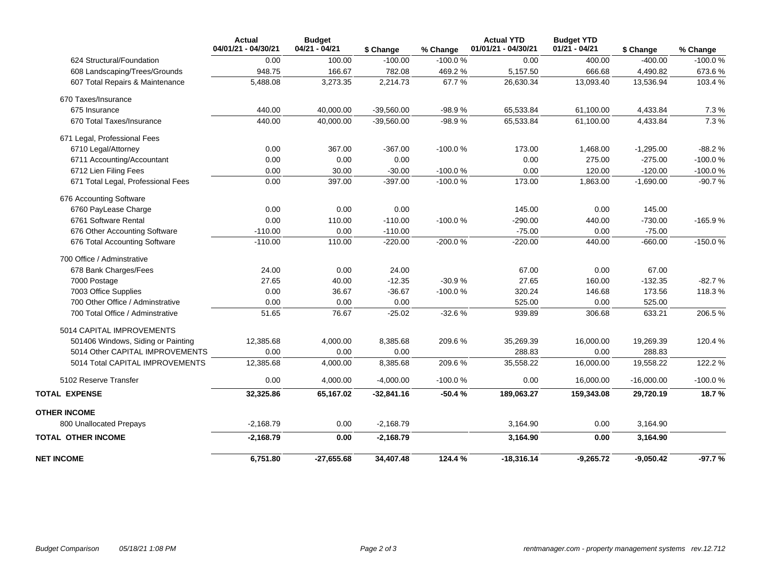|                                    | <b>Actual</b><br>04/01/21 - 04/30/21 | <b>Budget</b><br>$04/21 - 04/21$ | \$ Change    | % Change  | <b>Actual YTD</b><br>01/01/21 - 04/30/21 | <b>Budget YTD</b><br>$01/21 - 04/21$ | \$ Change    | % Change  |
|------------------------------------|--------------------------------------|----------------------------------|--------------|-----------|------------------------------------------|--------------------------------------|--------------|-----------|
| 624 Structural/Foundation          | 0.00                                 | 100.00                           | $-100.00$    | $-100.0%$ | 0.00                                     | 400.00                               | $-400.00$    | $-100.0%$ |
| 608 Landscaping/Trees/Grounds      | 948.75                               | 166.67                           | 782.08       | 469.2%    | 5,157.50                                 | 666.68                               | 4,490.82     | 673.6%    |
| 607 Total Repairs & Maintenance    | 5,488.08                             | 3,273.35                         | 2,214.73     | 67.7%     | 26,630.34                                | 13,093.40                            | 13,536.94    | 103.4 %   |
| 670 Taxes/Insurance                |                                      |                                  |              |           |                                          |                                      |              |           |
| 675 Insurance                      | 440.00                               | 40,000.00                        | $-39,560.00$ | $-98.9%$  | 65,533.84                                | 61,100.00                            | 4,433.84     | 7.3 %     |
| 670 Total Taxes/Insurance          | 440.00                               | 40,000.00                        | $-39,560.00$ | $-98.9%$  | 65,533.84                                | 61,100.00                            | 4,433.84     | 7.3%      |
| 671 Legal, Professional Fees       |                                      |                                  |              |           |                                          |                                      |              |           |
| 6710 Legal/Attorney                | 0.00                                 | 367.00                           | $-367.00$    | $-100.0%$ | 173.00                                   | 1,468.00                             | $-1,295.00$  | $-88.2%$  |
| 6711 Accounting/Accountant         | 0.00                                 | 0.00                             | 0.00         |           | 0.00                                     | 275.00                               | $-275.00$    | $-100.0%$ |
| 6712 Lien Filing Fees              | 0.00                                 | 30.00                            | $-30.00$     | $-100.0%$ | 0.00                                     | 120.00                               | $-120.00$    | $-100.0%$ |
| 671 Total Legal, Professional Fees | 0.00                                 | 397.00                           | $-397.00$    | $-100.0%$ | 173.00                                   | 1,863.00                             | $-1,690.00$  | $-90.7%$  |
| 676 Accounting Software            |                                      |                                  |              |           |                                          |                                      |              |           |
| 6760 PayLease Charge               | 0.00                                 | 0.00                             | 0.00         |           | 145.00                                   | 0.00                                 | 145.00       |           |
| 6761 Software Rental               | 0.00                                 | 110.00                           | $-110.00$    | $-100.0%$ | $-290.00$                                | 440.00                               | $-730.00$    | -165.9%   |
| 676 Other Accounting Software      | $-110.00$                            | 0.00                             | $-110.00$    |           | $-75.00$                                 | 0.00                                 | $-75.00$     |           |
| 676 Total Accounting Software      | $-110.00$                            | 110.00                           | $-220.00$    | -200.0%   | $-220.00$                                | 440.00                               | $-660.00$    | $-150.0%$ |
| 700 Office / Adminstrative         |                                      |                                  |              |           |                                          |                                      |              |           |
| 678 Bank Charges/Fees              | 24.00                                | 0.00                             | 24.00        |           | 67.00                                    | 0.00                                 | 67.00        |           |
| 7000 Postage                       | 27.65                                | 40.00                            | $-12.35$     | $-30.9%$  | 27.65                                    | 160.00                               | $-132.35$    | $-82.7%$  |
| 7003 Office Supplies               | 0.00                                 | 36.67                            | $-36.67$     | $-100.0%$ | 320.24                                   | 146.68                               | 173.56       | 118.3%    |
| 700 Other Office / Adminstrative   | 0.00                                 | 0.00                             | 0.00         |           | 525.00                                   | 0.00                                 | 525.00       |           |
| 700 Total Office / Adminstrative   | 51.65                                | 76.67                            | $-25.02$     | $-32.6%$  | 939.89                                   | 306.68                               | 633.21       | 206.5%    |
| 5014 CAPITAL IMPROVEMENTS          |                                      |                                  |              |           |                                          |                                      |              |           |
| 501406 Windows, Siding or Painting | 12,385.68                            | 4,000.00                         | 8,385.68     | 209.6%    | 35,269.39                                | 16,000.00                            | 19,269.39    | 120.4%    |
| 5014 Other CAPITAL IMPROVEMENTS    | 0.00                                 | 0.00                             | 0.00         |           | 288.83                                   | 0.00                                 | 288.83       |           |
| 5014 Total CAPITAL IMPROVEMENTS    | 12,385.68                            | 4,000.00                         | 8,385.68     | 209.6%    | 35,558.22                                | 16,000.00                            | 19,558.22    | 122.2 %   |
| 5102 Reserve Transfer              | 0.00                                 | 4,000.00                         | $-4,000.00$  | $-100.0%$ | 0.00                                     | 16,000.00                            | $-16,000.00$ | $-100.0%$ |
| <b>TOTAL EXPENSE</b>               | 32,325.86                            | 65,167.02                        | $-32,841.16$ | $-50.4%$  | 189,063.27                               | 159,343.08                           | 29,720.19    | 18.7%     |
| <b>OTHER INCOME</b>                |                                      |                                  |              |           |                                          |                                      |              |           |
| 800 Unallocated Prepays            | $-2,168.79$                          | 0.00                             | $-2,168.79$  |           | 3,164.90                                 | 0.00                                 | 3,164.90     |           |
| <b>TOTAL OTHER INCOME</b>          | $-2,168.79$                          | 0.00                             | $-2,168.79$  |           | 3,164.90                                 | 0.00                                 | 3,164.90     |           |
| <b>NET INCOME</b>                  | 6,751.80                             | $-27,655.68$                     | 34,407.48    | 124.4 %   | $-18,316.14$                             | $-9,265.72$                          | $-9,050.42$  | $-97.7%$  |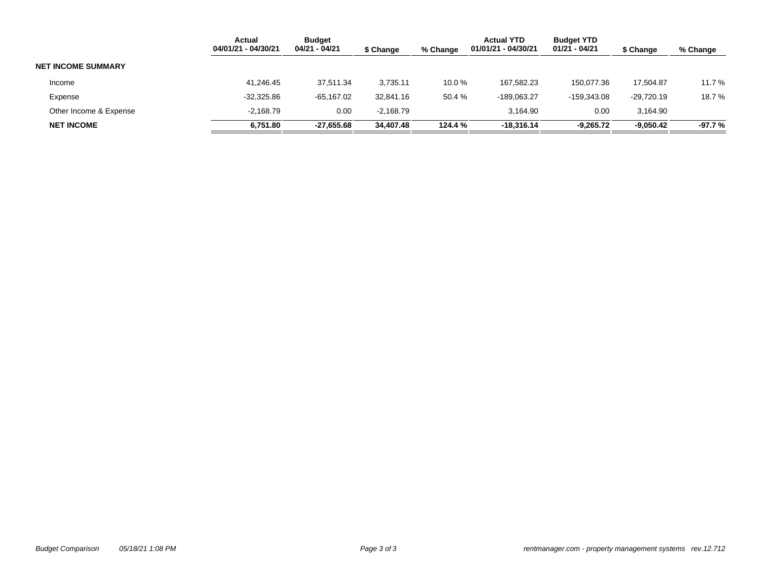|                           | <b>Actual</b><br>04/01/21 - 04/30/21 | <b>Budget</b><br>04/21 - 04/21 | \$ Change   | % Change | <b>Actual YTD</b><br>01/01/21 - 04/30/21 | <b>Budget YTD</b><br>01/21 - 04/21 | \$ Change   | % Change |
|---------------------------|--------------------------------------|--------------------------------|-------------|----------|------------------------------------------|------------------------------------|-------------|----------|
| <b>NET INCOME SUMMARY</b> |                                      |                                |             |          |                                          |                                    |             |          |
| Income                    | 41,246.45                            | 37.511.34                      | 3,735.11    | 10.0%    | 167.582.23                               | 150.077.36                         | 17.504.87   | 11.7 %   |
| Expense                   | $-32,325.86$                         | -65.167.02                     | 32.841.16   | 50.4%    | -189.063.27                              | $-159.343.08$                      | -29.720.19  | 18.7 %   |
| Other Income & Expense    | $-2,168.79$                          | 0.00                           | $-2.168.79$ |          | 3.164.90                                 | 0.00                               | 3.164.90    |          |
| <b>NET INCOME</b>         | 6,751.80                             | $-27.655.68$                   | 34,407.48   | 124.4 %  | $-18.316.14$                             | $-9.265.72$                        | $-9,050.42$ | -97.7 %  |